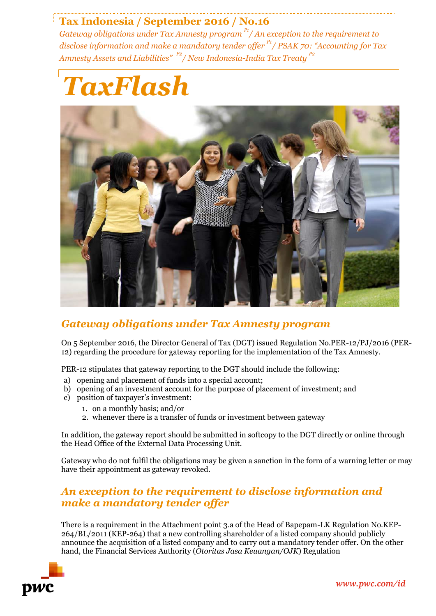# **Tax Indonesia / September 2016 / No.16**

*Gateway obligations under Tax Amnesty program P1/ An exception to the requirement to disclose information and make a mandatory tender offer P1 / PSAK 70: "Accounting for Tax Amnesty Assets and Liabilities" P2 / New Indonesia-India Tax Treaty P2*





### *Gateway obligations under Tax Amnesty program*

On 5 September 2016, the Director General of Tax (DGT) issued Regulation No.PER-12/PJ/2016 (PER-12) regarding the procedure for gateway reporting for the implementation of the Tax Amnesty.

PER-12 stipulates that gateway reporting to the DGT should include the following:

- a) opening and placement of funds into a special account;
- b) opening of an investment account for the purpose of placement of investment; and
- c) position of taxpayer's investment:
	- 1. on a monthly basis; and/or
	- 2. whenever there is a transfer of funds or investment between gateway

In addition, the gateway report should be submitted in softcopy to the DGT directly or online through the Head Office of the External Data Processing Unit.

Gateway who do not fulfil the obligations may be given a sanction in the form of a warning letter or may have their appointment as gateway revoked.

### *An exception to the requirement to disclose information and make a mandatory tender offer*

There is a requirement in the Attachment point 3.a of the Head of Bapepam-LK Regulation No.KEP-264/BL/2011 (KEP-264) that a new controlling shareholder of a listed company should publicly announce the acquisition of a listed company and to carry out a mandatory tender offer. On the other hand, the Financial Services Authority (*Otoritas Jasa Keuangan/OJK*) Regulation

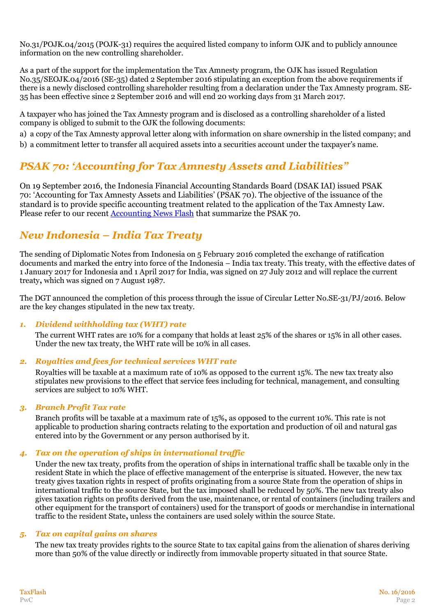No.31/POJK.04/2015 (POJK-31) requires the acquired listed company to inform OJK and to publicly announce information on the new controlling shareholder.

As a part of the support for the implementation the Tax Amnesty program, the OJK has issued Regulation No.35/SEOJK.04/2016 (SE-35) dated 2 September 2016 stipulating an exception from the above requirements if there is a newly disclosed controlling shareholder resulting from a declaration under the Tax Amnesty program. SE-35 has been effective since 2 September 2016 and will end 20 working days from 31 March 2017.

A taxpayer who has joined the Tax Amnesty program and is disclosed as a controlling shareholder of a listed company is obliged to submit to the OJK the following documents:

a) a copy of the Tax Amnesty approval letter along with information on share ownership in the listed company; and

b) a commitment letter to transfer all acquired assets into a securities account under the taxpayer's name.

# *PSAK 70: 'Accounting for Tax Amnesty Assets and Liabilities"*

On 19 September 2016, the Indonesia Financial Accounting Standards Board (DSAK IAI) issued PSAK 70: 'Accounting for Tax Amnesty Assets and Liabilities' (PSAK 70). The objective of the issuance of the standard is to provide specific accounting treatment related to the application of the Tax Amnesty Law. Please refer to our recent [Accounting News Flash](http://www.pwc.com/id/en/assurance-newsflash/assets/accounting-newsflash-2016-tax-amnesty.pdf) that summarize the PSAK 70.

# *New Indonesia – India Tax Treaty*

The sending of Diplomatic Notes from Indonesia on 5 February 2016 completed the exchange of ratification documents and marked the entry into force of the Indonesia – India tax treaty. This treaty, with the effective dates of 1 January 2017 for Indonesia and 1 April 2017 for India, was signed on 27 July 2012 and will replace the current treaty**,** which was signed on 7 August 1987.

The DGT announced the completion of this process through the issue of Circular Letter No.SE-31/PJ/2016. Below are the key changes stipulated in the new tax treaty.

#### *1. Dividend withholding tax (WHT) rate*

The current WHT rates are 10% for a company that holds at least 25% of the shares or 15% in all other cases. Under the new tax treaty, the WHT rate will be 10% in all cases.

#### *2. Royalties and fees for technical services WHT rate*

Royalties will be taxable at a maximum rate of 10% as opposed to the current 15%. The new tax treaty also stipulates new provisions to the effect that service fees including for technical, management, and consulting services are subject to 10% WHT.

#### *3. Branch Profit Tax rate*

Branch profits will be taxable at a maximum rate of 15%**,** as opposed to the current 10%. This rate is not applicable to production sharing contracts relating to the exportation and production of oil and natural gas entered into by the Government or any person authorised by it.

#### *4. Tax on the operation of ships in international traffic*

Under the new tax treaty, profits from the operation of ships in international traffic shall be taxable only in the resident State in which the place of effective management of the enterprise is situated. However, the new tax treaty gives taxation rights in respect of profits originating from a source State from the operation of ships in international traffic to the source State, but the tax imposed shall be reduced by 50%. The new tax treaty also gives taxation rights on profits derived from the use, maintenance, or rental of containers (including trailers and other equipment for the transport of containers) used for the transport of goods or merchandise in international traffic to the resident State**,** unless the containers are used solely within the source State.

#### *5. Tax on capital gains on shares*

The new tax treaty provides rights to the source State to tax capital gains from the alienation of shares deriving more than 50% of the value directly or indirectly from immovable property situated in that source State.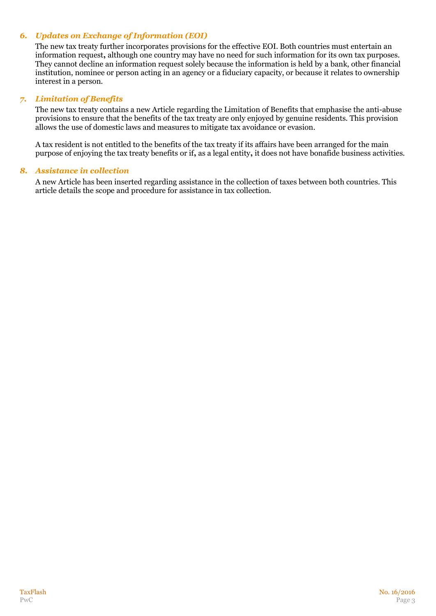#### *6. Updates on Exchange of Information (EOI)*

The new tax treaty further incorporates provisions for the effective EOI. Both countries must entertain an information request**,** although one country may have no need for such information for its own tax purposes. They cannot decline an information request solely because the information is held by a bank, other financial institution, nominee or person acting in an agency or a fiduciary capacity, or because it relates to ownership interest in a person.

#### *7. Limitation of Benefits*

The new tax treaty contains a new Article regarding the Limitation of Benefits that emphasise the anti-abuse provisions to ensure that the benefits of the tax treaty are only enjoyed by genuine residents. This provision allows the use of domestic laws and measures to mitigate tax avoidance or evasion.

A tax resident is not entitled to the benefits of the tax treaty if its affairs have been arranged for the main purpose of enjoying the tax treaty benefits or if**,** as a legal entity**,** it does not have bonafide business activities.

#### *8. Assistance in collection*

A new Article has been inserted regarding assistance in the collection of taxes between both countries. This article details the scope and procedure for assistance in tax collection.